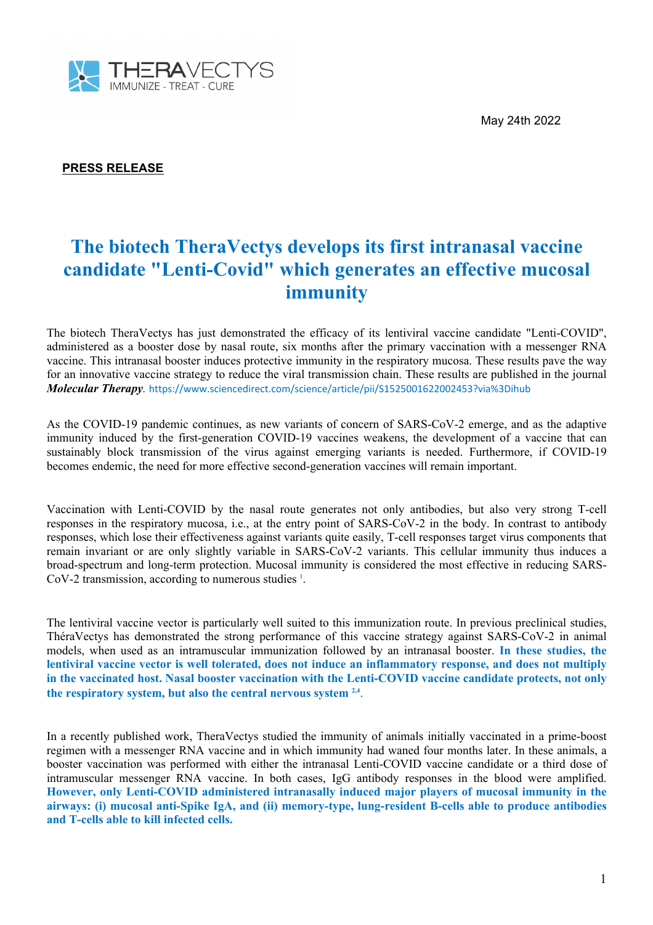May 24th 2022



# **PRESS RELEASE**

# **The biotech TheraVectys develops its first intranasal vaccine candidate "Lenti-Covid" which generates an effective mucosal immunity**

The biotech TheraVectys has just demonstrated the efficacy of its lentiviral vaccine candidate "Lenti-COVID", administered as a booster dose by nasal route, six months after the primary vaccination with a messenger RNA vaccine. This intranasal booster induces protective immunity in the respiratory mucosa. These results pave the way for an innovative vaccine strategy to reduce the viral transmission chain. These results are published in the journal *Molecular Therapy.* https://www.sciencedirect.com/science/article/pii/S1525001622002453?via%3Dihub

As the COVID-19 pandemic continues, as new variants of concern of SARS-CoV-2 emerge, and as the adaptive immunity induced by the first-generation COVID-19 vaccines weakens, the development of a vaccine that can sustainably block transmission of the virus against emerging variants is needed. Furthermore, if COVID-19 becomes endemic, the need for more effective second-generation vaccines will remain important.

Vaccination with Lenti-COVID by the nasal route generates not only antibodies, but also very strong T-cell responses in the respiratory mucosa, i.e., at the entry point of SARS-CoV-2 in the body. In contrast to antibody responses, which lose their effectiveness against variants quite easily, T-cell responses target virus components that remain invariant or are only slightly variable in SARS-CoV-2 variants. This cellular immunity thus induces a broad-spectrum and long-term protection. Mucosal immunity is considered the most effective in reducing SARS- $CoV-2$  transmission, according to numerous studies  $\frac{1}{1}$ . .

The lentiviral vaccine vector is particularly well suited to this immunization route. In previous preclinical studies, ThéraVectys has demonstrated the strong performance of this vaccine strategy against SARS-CoV-2 in animal models, when used as an intramuscular immunization followed by an intranasal booster. **In these studies, the lentiviral vaccine vector is well tolerated, does not induce an inflammatory response, and does not multiply in the vaccinated host. Nasal booster vaccination with the Lenti-COVID vaccine candidate protects, not only the respiratory system, but also the central nervous system 2,4** .

In a recently published work, TheraVectys studied the immunity of animals initially vaccinated in a prime-boost regimen with a messenger RNA vaccine and in which immunity had waned four months later. In these animals, a booster vaccination was performed with either the intranasal Lenti-COVID vaccine candidate or a third dose of intramuscular messenger RNA vaccine. In both cases, IgG antibody responses in the blood were amplified. **However, only Lenti-COVID administered intranasally induced major players of mucosal immunity in the airways: (i) mucosal anti-Spike IgA, and (ii) memory-type, lung-resident B-cells able to produce antibodies and T-cells able to kill infected cells.**